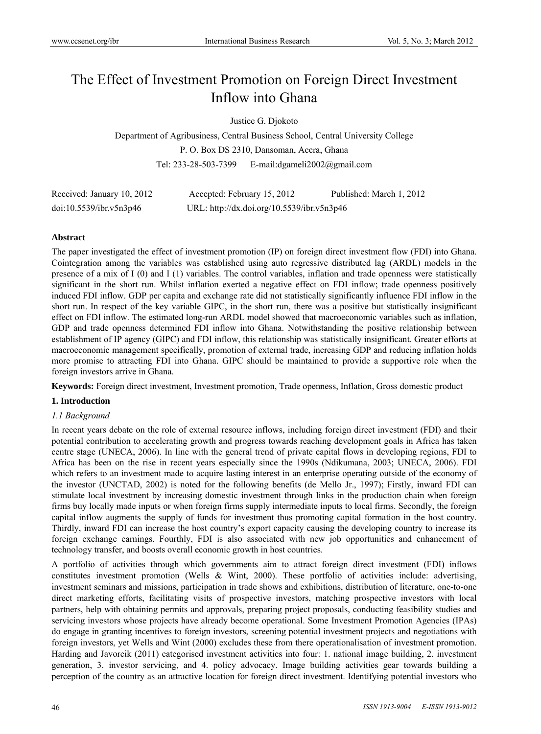# The Effect of Investment Promotion on Foreign Direct Investment Inflow into Ghana

Justice G. Djokoto

Department of Agribusiness, Central Business School, Central University College P. O. Box DS 2310, Dansoman, Accra, Ghana Tel: 233-28-503-7399 E-mail:dgameli2002@gmail.com

| Received: January 10, 2012 | Accepted: February 15, 2012                | Published: March 1, 2012 |
|----------------------------|--------------------------------------------|--------------------------|
| doi:10.5539/ibr.v5n3p46    | URL: http://dx.doi.org/10.5539/ibr.v5n3p46 |                          |

# **Abstract**

The paper investigated the effect of investment promotion (IP) on foreign direct investment flow (FDI) into Ghana. Cointegration among the variables was established using auto regressive distributed lag (ARDL) models in the presence of a mix of I (0) and I (1) variables. The control variables, inflation and trade openness were statistically significant in the short run. Whilst inflation exerted a negative effect on FDI inflow; trade openness positively induced FDI inflow. GDP per capita and exchange rate did not statistically significantly influence FDI inflow in the short run. In respect of the key variable GIPC, in the short run, there was a positive but statistically insignificant effect on FDI inflow. The estimated long-run ARDL model showed that macroeconomic variables such as inflation, GDP and trade openness determined FDI inflow into Ghana. Notwithstanding the positive relationship between establishment of IP agency (GIPC) and FDI inflow, this relationship was statistically insignificant. Greater efforts at macroeconomic management specifically, promotion of external trade, increasing GDP and reducing inflation holds more promise to attracting FDI into Ghana. GIPC should be maintained to provide a supportive role when the foreign investors arrive in Ghana.

**Keywords:** Foreign direct investment, Investment promotion, Trade openness, Inflation, Gross domestic product

#### **1. Introduction**

#### *1.1 Background*

In recent years debate on the role of external resource inflows, including foreign direct investment (FDI) and their potential contribution to accelerating growth and progress towards reaching development goals in Africa has taken centre stage (UNECA, 2006). In line with the general trend of private capital flows in developing regions, FDI to Africa has been on the rise in recent years especially since the 1990s (Ndikumana, 2003; UNECA, 2006). FDI which refers to an investment made to acquire lasting interest in an enterprise operating outside of the economy of the investor (UNCTAD, 2002) is noted for the following benefits (de Mello Jr., 1997); Firstly, inward FDI can stimulate local investment by increasing domestic investment through links in the production chain when foreign firms buy locally made inputs or when foreign firms supply intermediate inputs to local firms. Secondly, the foreign capital inflow augments the supply of funds for investment thus promoting capital formation in the host country. Thirdly, inward FDI can increase the host country's export capacity causing the developing country to increase its foreign exchange earnings. Fourthly, FDI is also associated with new job opportunities and enhancement of technology transfer, and boosts overall economic growth in host countries.

A portfolio of activities through which governments aim to attract foreign direct investment (FDI) inflows constitutes investment promotion (Wells & Wint, 2000). These portfolio of activities include: advertising, investment seminars and missions, participation in trade shows and exhibitions, distribution of literature, one-to-one direct marketing efforts, facilitating visits of prospective investors, matching prospective investors with local partners, help with obtaining permits and approvals, preparing project proposals, conducting feasibility studies and servicing investors whose projects have already become operational. Some Investment Promotion Agencies (IPAs) do engage in granting incentives to foreign investors, screening potential investment projects and negotiations with foreign investors, yet Wells and Wint (2000) excludes these from there operationalisation of investment promotion. Harding and Javorcik (2011) categorised investment activities into four: 1. national image building, 2. investment generation, 3. investor servicing, and 4. policy advocacy. Image building activities gear towards building a perception of the country as an attractive location for foreign direct investment. Identifying potential investors who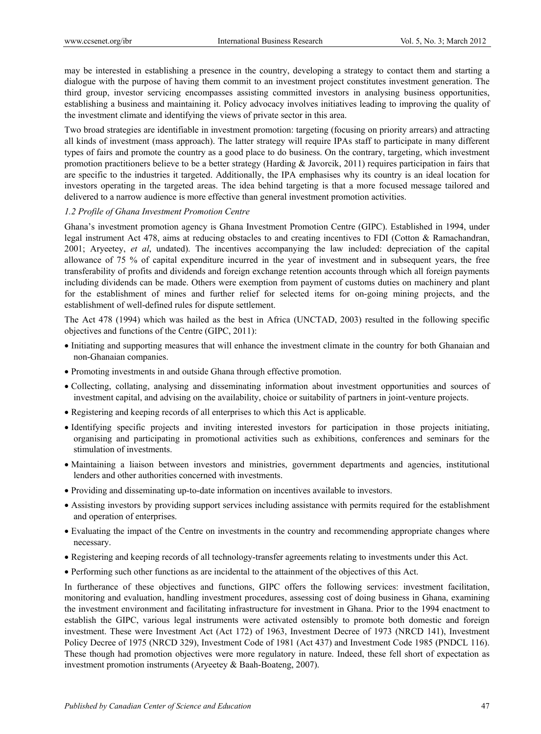may be interested in establishing a presence in the country, developing a strategy to contact them and starting a dialogue with the purpose of having them commit to an investment project constitutes investment generation. The third group, investor servicing encompasses assisting committed investors in analysing business opportunities, establishing a business and maintaining it. Policy advocacy involves initiatives leading to improving the quality of the investment climate and identifying the views of private sector in this area.

Two broad strategies are identifiable in investment promotion: targeting (focusing on priority arrears) and attracting all kinds of investment (mass approach). The latter strategy will require IPAs staff to participate in many different types of fairs and promote the country as a good place to do business. On the contrary, targeting, which investment promotion practitioners believe to be a better strategy (Harding & Javorcik, 2011) requires participation in fairs that are specific to the industries it targeted. Additionally, the IPA emphasises why its country is an ideal location for investors operating in the targeted areas. The idea behind targeting is that a more focused message tailored and delivered to a narrow audience is more effective than general investment promotion activities.

#### *1.2 Profile of Ghana Investment Promotion Centre*

Ghana's investment promotion agency is Ghana Investment Promotion Centre (GIPC). Established in 1994, under legal instrument Act 478, aims at reducing obstacles to and creating incentives to FDI (Cotton & Ramachandran, 2001; Aryeetey, *et al*, undated). The incentives accompanying the law included: depreciation of the capital allowance of 75 % of capital expenditure incurred in the year of investment and in subsequent years, the free transferability of profits and dividends and foreign exchange retention accounts through which all foreign payments including dividends can be made. Others were exemption from payment of customs duties on machinery and plant for the establishment of mines and further relief for selected items for on-going mining projects, and the establishment of well-defined rules for dispute settlement.

The Act 478 (1994) which was hailed as the best in Africa (UNCTAD, 2003) resulted in the following specific objectives and functions of the Centre (GIPC, 2011):

- Initiating and supporting measures that will enhance the investment climate in the country for both Ghanaian and non-Ghanaian companies.
- Promoting investments in and outside Ghana through effective promotion.
- Collecting, collating, analysing and disseminating information about investment opportunities and sources of investment capital, and advising on the availability, choice or suitability of partners in joint-venture projects.
- Registering and keeping records of all enterprises to which this Act is applicable.
- Identifying specific projects and inviting interested investors for participation in those projects initiating, organising and participating in promotional activities such as exhibitions, conferences and seminars for the stimulation of investments.
- Maintaining a liaison between investors and ministries, government departments and agencies, institutional lenders and other authorities concerned with investments.
- Providing and disseminating up-to-date information on incentives available to investors.
- Assisting investors by providing support services including assistance with permits required for the establishment and operation of enterprises.
- Evaluating the impact of the Centre on investments in the country and recommending appropriate changes where necessary.
- Registering and keeping records of all technology-transfer agreements relating to investments under this Act.
- Performing such other functions as are incidental to the attainment of the objectives of this Act.

In furtherance of these objectives and functions, GIPC offers the following services: investment facilitation, monitoring and evaluation, handling investment procedures, assessing cost of doing business in Ghana, examining the investment environment and facilitating infrastructure for investment in Ghana. Prior to the 1994 enactment to establish the GIPC, various legal instruments were activated ostensibly to promote both domestic and foreign investment. These were Investment Act (Act 172) of 1963, Investment Decree of 1973 (NRCD 141), Investment Policy Decree of 1975 (NRCD 329), Investment Code of 1981 (Act 437) and Investment Code 1985 (PNDCL 116). These though had promotion objectives were more regulatory in nature. Indeed, these fell short of expectation as investment promotion instruments (Aryeetey & Baah-Boateng, 2007).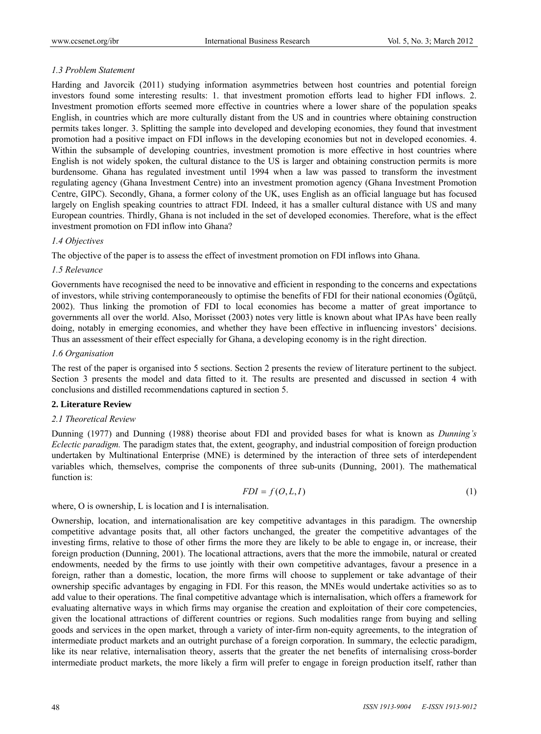#### *1.3 Problem Statement*

Harding and Javorcik (2011) studying information asymmetries between host countries and potential foreign investors found some interesting results: 1. that investment promotion efforts lead to higher FDI inflows. 2. Investment promotion efforts seemed more effective in countries where a lower share of the population speaks English, in countries which are more culturally distant from the US and in countries where obtaining construction permits takes longer. 3. Splitting the sample into developed and developing economies, they found that investment promotion had a positive impact on FDI inflows in the developing economies but not in developed economies. 4. Within the subsample of developing countries, investment promotion is more effective in host countries where English is not widely spoken, the cultural distance to the US is larger and obtaining construction permits is more burdensome. Ghana has regulated investment until 1994 when a law was passed to transform the investment regulating agency (Ghana Investment Centre) into an investment promotion agency (Ghana Investment Promotion Centre, GIPC). Secondly, Ghana, a former colony of the UK, uses English as an official language but has focused largely on English speaking countries to attract FDI. Indeed, it has a smaller cultural distance with US and many European countries. Thirdly, Ghana is not included in the set of developed economies. Therefore, what is the effect investment promotion on FDI inflow into Ghana?

# *1.4 Objectives*

The objective of the paper is to assess the effect of investment promotion on FDI inflows into Ghana.

#### *1.5 Relevance*

Governments have recognised the need to be innovative and efficient in responding to the concerns and expectations of investors, while striving contemporaneously to optimise the benefits of FDI for their national economies (Ögütçü, 2002). Thus linking the promotion of FDI to local economies has become a matter of great importance to governments all over the world. Also, Morisset (2003) notes very little is known about what IPAs have been really doing, notably in emerging economies, and whether they have been effective in influencing investors' decisions. Thus an assessment of their effect especially for Ghana, a developing economy is in the right direction.

#### *1.6 Organisation*

The rest of the paper is organised into 5 sections. Section 2 presents the review of literature pertinent to the subject. Section 3 presents the model and data fitted to it. The results are presented and discussed in section 4 with conclusions and distilled recommendations captured in section 5.

#### **2. Literature Review**

# *2.1 Theoretical Review*

Dunning (1977) and Dunning (1988) theorise about FDI and provided bases for what is known as *Dunning's Eclectic paradigm.* The paradigm states that, the extent, geography, and industrial composition of foreign production undertaken by Multinational Enterprise (MNE) is determined by the interaction of three sets of interdependent variables which, themselves, comprise the components of three sub-units (Dunning, 2001). The mathematical function is:

$$
FDI = f(O, L, I) \tag{1}
$$

where, O is ownership, L is location and I is internalisation.

Ownership, location, and internationalisation are key competitive advantages in this paradigm. The ownership competitive advantage posits that, all other factors unchanged, the greater the competitive advantages of the investing firms, relative to those of other firms the more they are likely to be able to engage in, or increase, their foreign production (Dunning, 2001). The locational attractions, avers that the more the immobile, natural or created endowments, needed by the firms to use jointly with their own competitive advantages, favour a presence in a foreign, rather than a domestic, location, the more firms will choose to supplement or take advantage of their ownership specific advantages by engaging in FDI. For this reason, the MNEs would undertake activities so as to add value to their operations. The final competitive advantage which is internalisation, which offers a framework for evaluating alternative ways in which firms may organise the creation and exploitation of their core competencies, given the locational attractions of different countries or regions. Such modalities range from buying and selling goods and services in the open market, through a variety of inter-firm non-equity agreements, to the integration of intermediate product markets and an outright purchase of a foreign corporation. In summary, the eclectic paradigm, like its near relative, internalisation theory, asserts that the greater the net benefits of internalising cross-border intermediate product markets, the more likely a firm will prefer to engage in foreign production itself, rather than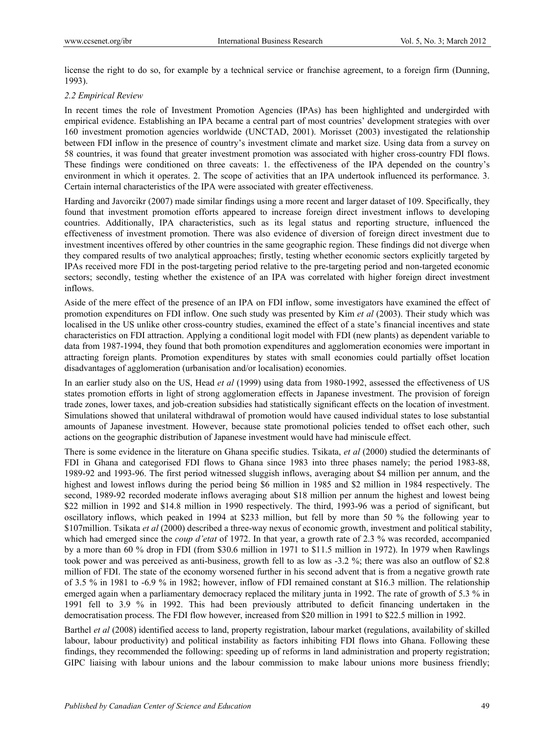license the right to do so, for example by a technical service or franchise agreement, to a foreign firm (Dunning, 1993).

# *2.2 Empirical Review*

In recent times the role of Investment Promotion Agencies (IPAs) has been highlighted and undergirded with empirical evidence. Establishing an IPA became a central part of most countries' development strategies with over 160 investment promotion agencies worldwide (UNCTAD, 2001). Morisset (2003) investigated the relationship between FDI inflow in the presence of country's investment climate and market size. Using data from a survey on 58 countries, it was found that greater investment promotion was associated with higher cross-country FDI flows. These findings were conditioned on three caveats: 1. the effectiveness of the IPA depended on the country's environment in which it operates. 2. The scope of activities that an IPA undertook influenced its performance. 3. Certain internal characteristics of the IPA were associated with greater effectiveness.

Harding and Javorcikr (2007) made similar findings using a more recent and larger dataset of 109. Specifically, they found that investment promotion efforts appeared to increase foreign direct investment inflows to developing countries. Additionally, IPA characteristics, such as its legal status and reporting structure, influenced the effectiveness of investment promotion. There was also evidence of diversion of foreign direct investment due to investment incentives offered by other countries in the same geographic region. These findings did not diverge when they compared results of two analytical approaches; firstly, testing whether economic sectors explicitly targeted by IPAs received more FDI in the post-targeting period relative to the pre-targeting period and non-targeted economic sectors; secondly, testing whether the existence of an IPA was correlated with higher foreign direct investment inflows.

Aside of the mere effect of the presence of an IPA on FDI inflow, some investigators have examined the effect of promotion expenditures on FDI inflow. One such study was presented by Kim *et al* (2003). Their study which was localised in the US unlike other cross-country studies, examined the effect of a state's financial incentives and state characteristics on FDI attraction. Applying a conditional logit model with FDI (new plants) as dependent variable to data from 1987-1994, they found that both promotion expenditures and agglomeration economies were important in attracting foreign plants. Promotion expenditures by states with small economies could partially offset location disadvantages of agglomeration (urbanisation and/or localisation) economies.

In an earlier study also on the US, Head *et al* (1999) using data from 1980-1992, assessed the effectiveness of US states promotion efforts in light of strong agglomeration effects in Japanese investment. The provision of foreign trade zones, lower taxes, and job-creation subsidies had statistically significant effects on the location of investment. Simulations showed that unilateral withdrawal of promotion would have caused individual states to lose substantial amounts of Japanese investment. However, because state promotional policies tended to offset each other, such actions on the geographic distribution of Japanese investment would have had miniscule effect.

There is some evidence in the literature on Ghana specific studies. Tsikata, *et al* (2000) studied the determinants of FDI in Ghana and categorised FDI flows to Ghana since 1983 into three phases namely; the period 1983-88, 1989-92 and 1993-96. The first period witnessed sluggish inflows, averaging about \$4 million per annum, and the highest and lowest inflows during the period being \$6 million in 1985 and \$2 million in 1984 respectively. The second, 1989-92 recorded moderate inflows averaging about \$18 million per annum the highest and lowest being \$22 million in 1992 and \$14.8 million in 1990 respectively. The third, 1993-96 was a period of significant, but oscillatory inflows, which peaked in 1994 at \$233 million, but fell by more than 50 % the following year to \$107million. Tsikata *et al* (2000) described a three-way nexus of economic growth, investment and political stability, which had emerged since the *coup d'etat* of 1972. In that year, a growth rate of 2.3 % was recorded, accompanied by a more than 60 % drop in FDI (from \$30.6 million in 1971 to \$11.5 million in 1972). In 1979 when Rawlings took power and was perceived as anti-business, growth fell to as low as -3.2 %; there was also an outflow of \$2.8 million of FDI. The state of the economy worsened further in his second advent that is from a negative growth rate of 3.5 % in 1981 to -6.9 % in 1982; however, inflow of FDI remained constant at \$16.3 million. The relationship emerged again when a parliamentary democracy replaced the military junta in 1992. The rate of growth of 5.3 % in 1991 fell to 3.9 % in 1992. This had been previously attributed to deficit financing undertaken in the democratisation process. The FDI flow however, increased from \$20 million in 1991 to \$22.5 million in 1992.

Barthel *et al* (2008) identified access to land, property registration, labour market (regulations, availability of skilled labour, labour productivity) and political instability as factors inhibiting FDI flows into Ghana. Following these findings, they recommended the following: speeding up of reforms in land administration and property registration; GIPC liaising with labour unions and the labour commission to make labour unions more business friendly;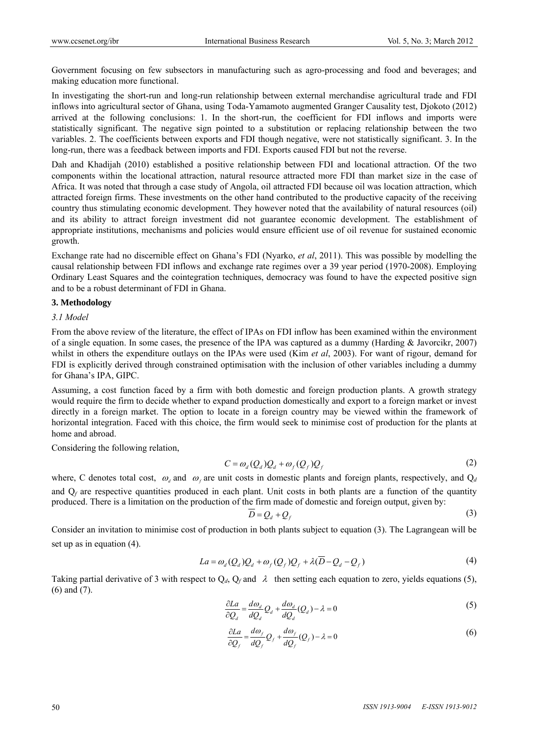Government focusing on few subsectors in manufacturing such as agro-processing and food and beverages; and making education more functional.

In investigating the short-run and long-run relationship between external merchandise agricultural trade and FDI inflows into agricultural sector of Ghana, using Toda-Yamamoto augmented Granger Causality test, Djokoto (2012) arrived at the following conclusions: 1. In the short-run, the coefficient for FDI inflows and imports were statistically significant. The negative sign pointed to a substitution or replacing relationship between the two variables. 2. The coefficients between exports and FDI though negative, were not statistically significant. 3. In the long-run, there was a feedback between imports and FDI. Exports caused FDI but not the reverse.

Dah and Khadijah (2010) established a positive relationship between FDI and locational attraction. Of the two components within the locational attraction, natural resource attracted more FDI than market size in the case of Africa. It was noted that through a case study of Angola, oil attracted FDI because oil was location attraction, which attracted foreign firms. These investments on the other hand contributed to the productive capacity of the receiving country thus stimulating economic development. They however noted that the availability of natural resources (oil) and its ability to attract foreign investment did not guarantee economic development. The establishment of appropriate institutions, mechanisms and policies would ensure efficient use of oil revenue for sustained economic growth.

Exchange rate had no discernible effect on Ghana's FDI (Nyarko, *et al*, 2011). This was possible by modelling the causal relationship between FDI inflows and exchange rate regimes over a 39 year period (1970-2008). Employing Ordinary Least Squares and the cointegration techniques, democracy was found to have the expected positive sign and to be a robust determinant of FDI in Ghana.

#### **3. Methodology**

#### *3.1 Model*

From the above review of the literature, the effect of IPAs on FDI inflow has been examined within the environment of a single equation. In some cases, the presence of the IPA was captured as a dummy (Harding & Javorcikr, 2007) whilst in others the expenditure outlays on the IPAs were used (Kim *et al*, 2003). For want of rigour, demand for FDI is explicitly derived through constrained optimisation with the inclusion of other variables including a dummy for Ghana's IPA, GIPC.

Assuming, a cost function faced by a firm with both domestic and foreign production plants. A growth strategy would require the firm to decide whether to expand production domestically and export to a foreign market or invest directly in a foreign market. The option to locate in a foreign country may be viewed within the framework of horizontal integration. Faced with this choice, the firm would seek to minimise cost of production for the plants at home and abroad.

Considering the following relation,

$$
C = \omega_d(Q_d)Q_d + \omega_f(Q_f)Q_f
$$
 (2)

where, C denotes total cost,  $\omega_d$  and  $\omega_c$  are unit costs in domestic plants and foreign plants, respectively, and  $Q_d$ and  $Q_f$  are respective quantities produced in each plant. Unit costs in both plants are a function of the quantity produced. There is a limitation on the production of the firm made of domestic and foreign output, given by:

$$
\overline{D} = Q_d + Q_f \tag{3}
$$

Consider an invitation to minimise cost of production in both plants subject to equation (3). The Lagrangean will be set up as in equation (4).

$$
La = \omega_d(Q_d)Q_d + \omega_f(Q_f)Q_f + \lambda(\overline{D} - Q_d - Q_f)
$$
\n<sup>(4)</sup>

Taking partial derivative of 3 with respect to  $Q_d$ ,  $Q_f$  and  $\lambda$  then setting each equation to zero, yields equations (5), (6) and (7).

$$
\frac{\partial La}{\partial Q_d} = \frac{d\omega_d}{dQ_d} Q_d + \frac{d\omega_d}{dQ_d} (Q_d) - \lambda = 0
$$
\n(5)

$$
\frac{\partial La}{\partial Q_f} = \frac{d\omega_f}{dQ_f} Q_f + \frac{d\omega_f}{dQ_f} (Q_f) - \lambda = 0
$$
\n(6)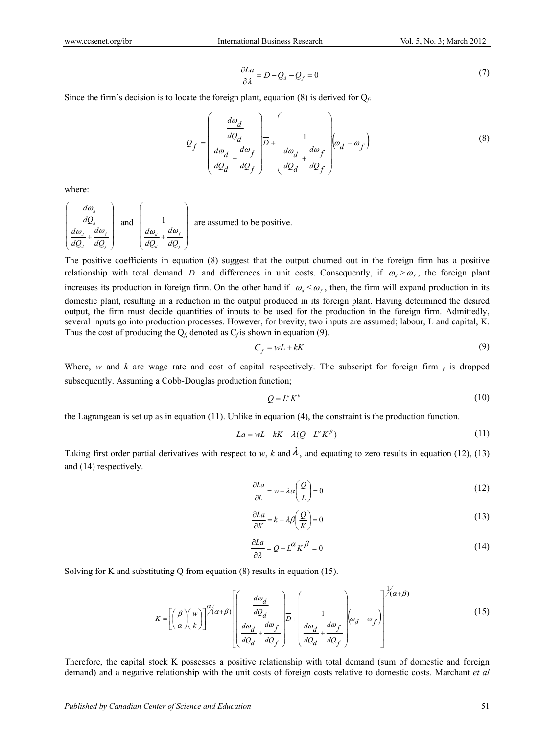$$
\frac{\partial La}{\partial \lambda} = \overline{D} - Q_d - Q_f = 0 \tag{7}
$$

Since the firm's decision is to locate the foreign plant, equation (8) is derived for Q*f*.

$$
Q_f = \left(\frac{\frac{d\omega_d}{dQ_d}}{\frac{d\omega_d}{dQ_d} + \frac{d\omega_f}{dQ_f}}\right)\overline{D} + \left(\frac{1}{\frac{d\omega_d}{dQ_d} + \frac{d\omega_f}{dQ_f}}\right)\left(\omega_d - \omega_f\right)
$$
(8)

where:

$$
\left(\frac{\frac{d\omega_d}{dQ_d}}{\frac{d\omega_d}{dQ_d} + \frac{d\omega_f}{dQ_f}}\right) \text{ and } \left(\frac{1}{\frac{d\omega_d}{dQ_d} + \frac{d\omega_f}{dQ_f}}\right) \text{ are assumed to be positive.}
$$

The positive coefficients in equation (8) suggest that the output churned out in the foreign firm has a positive relationship with total demand  $\overline{D}$  and differences in unit costs. Consequently, if  $\omega$   $>$   $\omega$ , the foreign plant increases its production in foreign firm. On the other hand if  $\omega_d < \omega_f$ , then, the firm will expand production in its domestic plant, resulting in a reduction in the output produced in its foreign plant. Having determined the desired output, the firm must decide quantities of inputs to be used for the production in the foreign firm. Admittedly, several inputs go into production processes. However, for brevity, two inputs are assumed; labour, L and capital, K. Thus the cost of producing the  $Q_f$  denoted as  $C_f$  is shown in equation (9).

$$
C_f = wL + kK \tag{9}
$$

Where, *w* and *k* are wage rate and cost of capital respectively. The subscript for foreign firm  $f$  is dropped subsequently. Assuming a Cobb-Douglas production function;

$$
Q = L^a K^b \tag{10}
$$

the Lagrangean is set up as in equation (11). Unlike in equation (4), the constraint is the production function.

$$
La = wL - kK + \lambda(Q - L^{\alpha}K^{\beta})
$$
\n<sup>(11)</sup>

Taking first order partial derivatives with respect to *w*, *k* and  $\lambda$ , and equating to zero results in equation (12), (13) and (14) respectively.

$$
\frac{\partial La}{\partial L} = w - \lambda \alpha \left(\frac{Q}{L}\right) = 0\tag{12}
$$

$$
\frac{\partial La}{\partial K} = k - \lambda \beta \left(\frac{Q}{K}\right) = 0\tag{13}
$$

$$
\frac{\partial La}{\partial \lambda} = Q - L^{\alpha} K^{\beta} = 0 \tag{14}
$$

Solving for K and substituting Q from equation (8) results in equation (15).

$$
K = \left[ \left( \frac{\beta}{\alpha} \right) \left( \frac{w}{k} \right) \right]^{2/(\alpha+\beta)} \left[ \left( \frac{\frac{d\omega_d}{dQ_d}}{\frac{d\omega_d}{dQ_d} + \frac{d\omega_f}{dQ_f}} \right) D + \left( \frac{1}{\frac{d\omega_d}{dQ_d} + \frac{d\omega_f}{dQ_f}} \right) \left( \omega_d - \omega_f \right) \right]^{1/(\alpha+\beta)} \tag{15}
$$

Therefore, the capital stock K possesses a positive relationship with total demand (sum of domestic and foreign demand) and a negative relationship with the unit costs of foreign costs relative to domestic costs. Marchant *et al*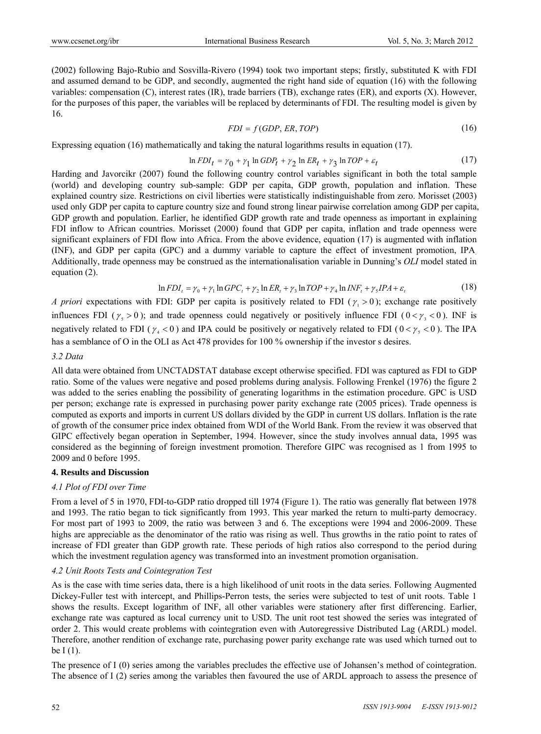(2002) following Bajo-Rubio and Sosvilla-Rivero (1994) took two important steps; firstly, substituted K with FDI and assumed demand to be GDP, and secondly, augmented the right hand side of equation (16) with the following variables: compensation (C), interest rates (IR), trade barriers (TB), exchange rates (ER), and exports (X). However, for the purposes of this paper, the variables will be replaced by determinants of FDI. The resulting model is given by 16.

$$
FDI = f(GDP, ER, TOP)
$$
\n
$$
(16)
$$

Expressing equation (16) mathematically and taking the natural logarithms results in equation (17).

$$
\ln FDI_t = \gamma_0 + \gamma_1 \ln GDP_t + \gamma_2 \ln ER_t + \gamma_3 \ln TOP + \varepsilon_t \tag{17}
$$

Harding and Javorcikr (2007) found the following country control variables significant in both the total sample (world) and developing country sub-sample: GDP per capita, GDP growth, population and inflation. These explained country size. Restrictions on civil liberties were statistically indistinguishable from zero. Morisset (2003) used only GDP per capita to capture country size and found strong linear pairwise correlation among GDP per capita, GDP growth and population. Earlier, he identified GDP growth rate and trade openness as important in explaining FDI inflow to African countries. Morisset (2000) found that GDP per capita, inflation and trade openness were significant explainers of FDI flow into Africa. From the above evidence, equation (17) is augmented with inflation (INF), and GDP per capita (GPC) and a dummy variable to capture the effect of investment promotion, IPA. Additionally, trade openness may be construed as the internationalisation variable in Dunning's *OLI* model stated in equation (2).

$$
\ln FDI_t = \gamma_0 + \gamma_1 \ln GPC_t + \gamma_2 \ln ER_t + \gamma_3 \ln TOP + \gamma_4 \ln INF_t + \gamma_5 IPA + \varepsilon_t
$$
\n(18)

*A priori* expectations with FDI: GDP per capita is positively related to FDI ( $\gamma$  > 0); exchange rate positively influences FDI ( $\gamma$  > 0); and trade openness could negatively or positively influence FDI ( $0 < \gamma$   $<$  0). INF is negatively related to FDI ( $\gamma_4$  < 0) and IPA could be positively or negatively related to FDI ( $0 < \gamma_5 < 0$ ). The IPA has a semblance of O in the OLI as Act 478 provides for 100 % ownership if the investor s desires.

#### *3.2 Data*

All data were obtained from UNCTADSTAT database except otherwise specified. FDI was captured as FDI to GDP ratio. Some of the values were negative and posed problems during analysis. Following Frenkel (1976) the figure 2 was added to the series enabling the possibility of generating logarithms in the estimation procedure. GPC is USD per person; exchange rate is expressed in purchasing power parity exchange rate (2005 prices). Trade openness is computed as exports and imports in current US dollars divided by the GDP in current US dollars. Inflation is the rate of growth of the consumer price index obtained from WDI of the World Bank. From the review it was observed that GIPC effectively began operation in September, 1994. However, since the study involves annual data, 1995 was considered as the beginning of foreign investment promotion. Therefore GIPC was recognised as 1 from 1995 to 2009 and 0 before 1995.

# **4. Results and Discussion**

# *4.1 Plot of FDI over Time*

From a level of 5 in 1970, FDI-to-GDP ratio dropped till 1974 (Figure 1). The ratio was generally flat between 1978 and 1993. The ratio began to tick significantly from 1993. This year marked the return to multi-party democracy. For most part of 1993 to 2009, the ratio was between 3 and 6. The exceptions were 1994 and 2006-2009. These highs are appreciable as the denominator of the ratio was rising as well. Thus growths in the ratio point to rates of increase of FDI greater than GDP growth rate. These periods of high ratios also correspond to the period during which the investment regulation agency was transformed into an investment promotion organisation.

# *4.2 Unit Roots Tests and Cointegration Test*

As is the case with time series data, there is a high likelihood of unit roots in the data series. Following Augmented Dickey-Fuller test with intercept, and Phillips-Perron tests, the series were subjected to test of unit roots. Table 1 shows the results. Except logarithm of INF, all other variables were stationery after first differencing. Earlier, exchange rate was captured as local currency unit to USD. The unit root test showed the series was integrated of order 2. This would create problems with cointegration even with Autoregressive Distributed Lag (ARDL) model. Therefore, another rendition of exchange rate, purchasing power parity exchange rate was used which turned out to be I $(1)$ .

The presence of I (0) series among the variables precludes the effective use of Johansen's method of cointegration. The absence of I (2) series among the variables then favoured the use of ARDL approach to assess the presence of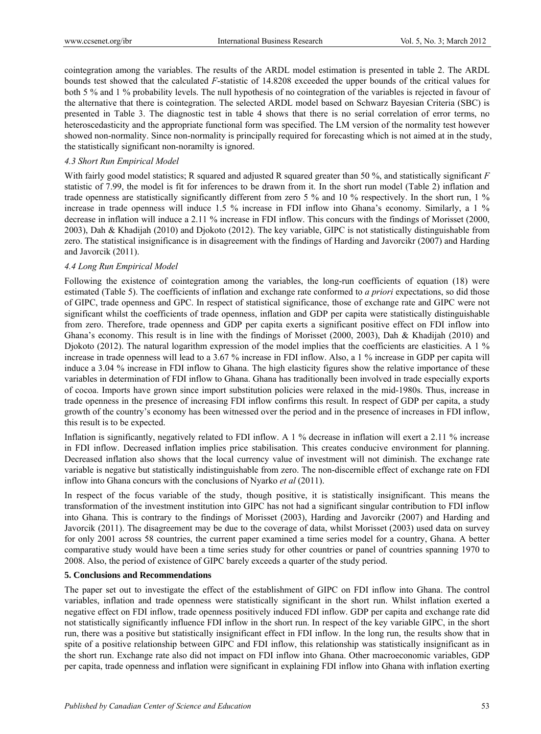cointegration among the variables. The results of the ARDL model estimation is presented in table 2. The ARDL bounds test showed that the calculated *F*-statistic of 14.8208 exceeded the upper bounds of the critical values for both 5 % and 1 % probability levels. The null hypothesis of no cointegration of the variables is rejected in favour of the alternative that there is cointegration. The selected ARDL model based on Schwarz Bayesian Criteria (SBC) is presented in Table 3. The diagnostic test in table 4 shows that there is no serial correlation of error terms, no heteroscedasticity and the appropriate functional form was specified. The LM version of the normality test however showed non-normality. Since non-normality is principally required for forecasting which is not aimed at in the study, the statistically significant non-noramilty is ignored.

#### *4.3 Short Run Empirical Model*

With fairly good model statistics; R squared and adjusted R squared greater than 50 %, and statistically significant *F* statistic of 7.99, the model is fit for inferences to be drawn from it. In the short run model (Table 2) inflation and trade openness are statistically significantly different from zero 5 % and 10 % respectively. In the short run, 1 % increase in trade openness will induce 1.5 % increase in FDI inflow into Ghana's economy. Similarly, a 1 % decrease in inflation will induce a 2.11 % increase in FDI inflow. This concurs with the findings of Morisset (2000, 2003), Dah & Khadijah (2010) and Djokoto (2012). The key variable, GIPC is not statistically distinguishable from zero. The statistical insignificance is in disagreement with the findings of Harding and Javorcikr (2007) and Harding and Javorcik (2011).

# *4.4 Long Run Empirical Model*

Following the existence of cointegration among the variables, the long-run coefficients of equation (18) were estimated (Table 5). The coefficients of inflation and exchange rate conformed to *a priori* expectations, so did those of GIPC, trade openness and GPC. In respect of statistical significance, those of exchange rate and GIPC were not significant whilst the coefficients of trade openness, inflation and GDP per capita were statistically distinguishable from zero. Therefore, trade openness and GDP per capita exerts a significant positive effect on FDI inflow into Ghana's economy. This result is in line with the findings of Morisset (2000, 2003), Dah & Khadijah (2010) and Djokoto (2012). The natural logarithm expression of the model implies that the coefficients are elasticities. A 1 % increase in trade openness will lead to a 3.67 % increase in FDI inflow. Also, a 1 % increase in GDP per capita will induce a 3.04 % increase in FDI inflow to Ghana. The high elasticity figures show the relative importance of these variables in determination of FDI inflow to Ghana. Ghana has traditionally been involved in trade especially exports of cocoa. Imports have grown since import substitution policies were relaxed in the mid-1980s. Thus, increase in trade openness in the presence of increasing FDI inflow confirms this result. In respect of GDP per capita, a study growth of the country's economy has been witnessed over the period and in the presence of increases in FDI inflow, this result is to be expected.

Inflation is significantly, negatively related to FDI inflow. A 1 % decrease in inflation will exert a 2.11 % increase in FDI inflow. Decreased inflation implies price stabilisation. This creates conducive environment for planning. Decreased inflation also shows that the local currency value of investment will not diminish. The exchange rate variable is negative but statistically indistinguishable from zero. The non-discernible effect of exchange rate on FDI inflow into Ghana concurs with the conclusions of Nyarko *et al* (2011).

In respect of the focus variable of the study, though positive, it is statistically insignificant. This means the transformation of the investment institution into GIPC has not had a significant singular contribution to FDI inflow into Ghana. This is contrary to the findings of Morisset (2003), Harding and Javorcikr (2007) and Harding and Javorcik (2011). The disagreement may be due to the coverage of data, whilst Morisset (2003) used data on survey for only 2001 across 58 countries, the current paper examined a time series model for a country, Ghana. A better comparative study would have been a time series study for other countries or panel of countries spanning 1970 to 2008. Also, the period of existence of GIPC barely exceeds a quarter of the study period.

#### **5. Conclusions and Recommendations**

The paper set out to investigate the effect of the establishment of GIPC on FDI inflow into Ghana. The control variables, inflation and trade openness were statistically significant in the short run. Whilst inflation exerted a negative effect on FDI inflow, trade openness positively induced FDI inflow. GDP per capita and exchange rate did not statistically significantly influence FDI inflow in the short run. In respect of the key variable GIPC, in the short run, there was a positive but statistically insignificant effect in FDI inflow. In the long run, the results show that in spite of a positive relationship between GIPC and FDI inflow, this relationship was statistically insignificant as in the short run. Exchange rate also did not impact on FDI inflow into Ghana. Other macroeconomic variables, GDP per capita, trade openness and inflation were significant in explaining FDI inflow into Ghana with inflation exerting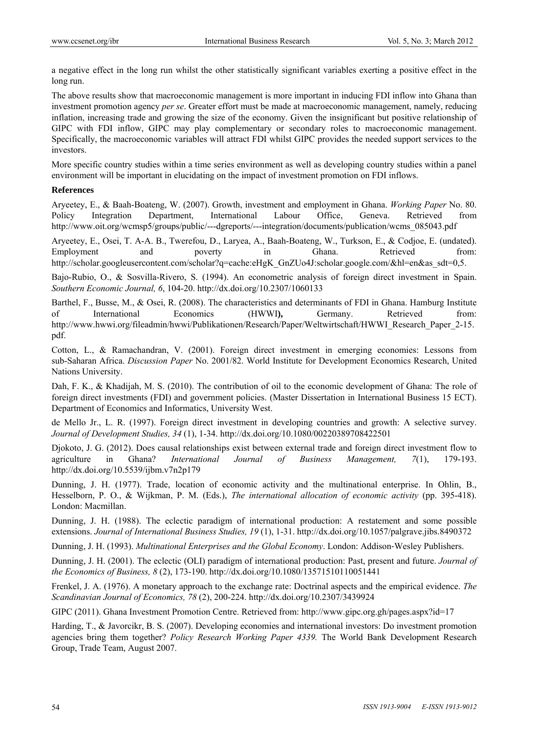a negative effect in the long run whilst the other statistically significant variables exerting a positive effect in the long run.

The above results show that macroeconomic management is more important in inducing FDI inflow into Ghana than investment promotion agency *per se*. Greater effort must be made at macroeconomic management, namely, reducing inflation, increasing trade and growing the size of the economy. Given the insignificant but positive relationship of GIPC with FDI inflow, GIPC may play complementary or secondary roles to macroeconomic management. Specifically, the macroeconomic variables will attract FDI whilst GIPC provides the needed support services to the investors.

More specific country studies within a time series environment as well as developing country studies within a panel environment will be important in elucidating on the impact of investment promotion on FDI inflows.

#### **References**

Aryeetey, E., & Baah-Boateng, W. (2007). Growth, investment and employment in Ghana. *Working Paper* No. 80. Policy Integration Department, International Labour Office, Geneva. Retrieved from http://www.oit.org/wcmsp5/groups/public/---dgreports/---integration/documents/publication/wcms\_085043.pdf

Aryeetey, E., Osei, T. A-A. B., Twerefou, D., Laryea, A., Baah-Boateng, W., Turkson, E., & Codjoe, E. (undated). Employment and poverty in Ghana. Retrieved from: http://scholar.googleusercontent.com/scholar?q=cache:eHgK\_GnZUo4J:scholar.google.com/&hl=en&as\_sdt=0,5.

Bajo-Rubio, O., & Sosvilla-Rivero, S. (1994). An econometric analysis of foreign direct investment in Spain. *Southern Economic Journal, 6*, 104-20. http://dx.doi.org/10.2307/1060133

Barthel, F., Busse, M., & Osei, R. (2008). The characteristics and determinants of FDI in Ghana. Hamburg Institute of International Economics (HWWI**),** Germany. Retrieved from: http://www.hwwi.org/fileadmin/hwwi/Publikationen/Research/Paper/Weltwirtschaft/HWWI\_Research\_Paper\_2-15. pdf.

Cotton, L., & Ramachandran, V. (2001). Foreign direct investment in emerging economies: Lessons from sub-Saharan Africa. *Discussion Paper* No. 2001/82. World Institute for Development Economics Research, United Nations University.

Dah, F. K., & Khadijah, M. S. (2010). The contribution of oil to the economic development of Ghana: The role of foreign direct investments (FDI) and government policies. (Master Dissertation in International Business 15 ECT). Department of Economics and Informatics, University West.

de Mello Jr., L. R. (1997). Foreign direct investment in developing countries and growth: A selective survey. *Journal of Development Studies, 34* (1), 1-34. http://dx.doi.org/10.1080/00220389708422501

Djokoto, J. G. (2012). Does causal relationships exist between external trade and foreign direct investment flow to agriculture in Ghana? *International Journal of Business Management, 7*(1), 179-193. http://dx.doi.org/10.5539/ijbm.v7n2p179

Dunning, J. H. (1977). Trade, location of economic activity and the multinational enterprise. In Ohlin, B., Hesselborn, P. O., & Wijkman, P. M. (Eds.), *The international allocation of economic activity* (pp. 395-418). London: Macmillan.

Dunning, J. H. (1988). The eclectic paradigm of international production: A restatement and some possible extensions. *Journal of International Business Studies, 19* (1), 1-31. http://dx.doi.org/10.1057/palgrave.jibs.8490372

Dunning, J. H. (1993). *Multinational Enterprises and the Global Economy*. London: Addison‐Wesley Publishers.

Dunning, J. H. (2001). The eclectic (OLI) paradigm of international production: Past, present and future. *Journal of the Economics of Business, 8* (2), 173-190. http://dx.doi.org/10.1080/13571510110051441

Frenkel, J. A. (1976). A monetary approach to the exchange rate: Doctrinal aspects and the empirical evidence. *The Scandinavian Journal of Economics, 78* (2), 200-224. http://dx.doi.org/10.2307/3439924

GIPC (2011). Ghana Investment Promotion Centre. Retrieved from: http://www.gipc.org.gh/pages.aspx?id=17

Harding, T., & Javorcikr, B. S. (2007). Developing economies and international investors: Do investment promotion agencies bring them together? *Policy Research Working Paper 4339.* The World Bank Development Research Group, Trade Team, August 2007.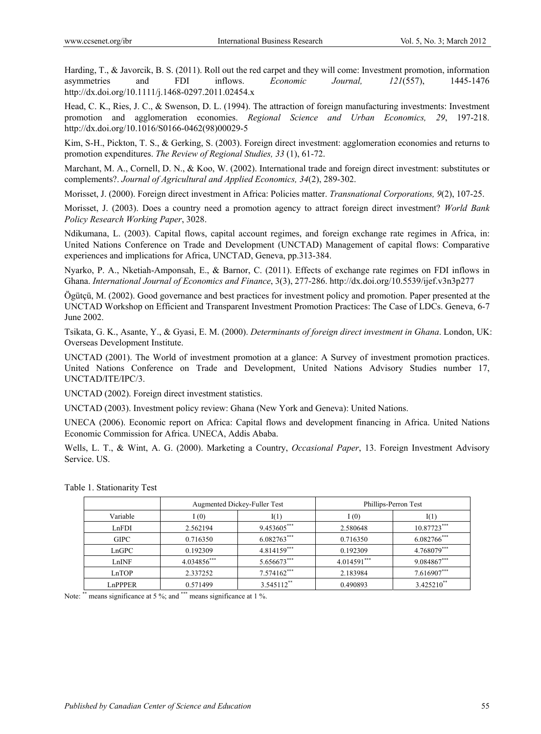Harding, T., & Javorcik, B. S. (2011). Roll out the red carpet and they will come: Investment promotion, information asymmetries and FDI inflows. *Economic Journal, 121*(557), 1445-1476 http://dx.doi.org/10.1111/j.1468-0297.2011.02454.x

Head, C. K., Ries, J. C., & Swenson, D. L. (1994). The attraction of foreign manufacturing investments: Investment promotion and agglomeration economies. *Regional Science and Urban Economics, 29*, 197-218. http://dx.doi.org/10.1016/S0166-0462(98)00029-5

Kim, S-H., Pickton, T. S., & Gerking, S. (2003). Foreign direct investment: agglomeration economies and returns to promotion expenditures. *The Review of Regional Studies, 33* (1), 61-72.

Marchant, M. A., Cornell, D. N., & Koo, W. (2002). International trade and foreign direct investment: substitutes or complements?. *Journal of Agricultural and Applied Economics, 34*(2), 289-302.

Morisset, J. (2000). Foreign direct investment in Africa: Policies matter. *Transnational Corporations, 9*(2), 107-25.

Morisset, J. (2003). Does a country need a promotion agency to attract foreign direct investment? *World Bank Policy Research Working Paper*, 3028.

Ndikumana, L. (2003). Capital flows, capital account regimes, and foreign exchange rate regimes in Africa, in: United Nations Conference on Trade and Development (UNCTAD) Management of capital flows: Comparative experiences and implications for Africa, UNCTAD, Geneva, pp.313-384.

Nyarko, P. A., Nketiah-Amponsah, E., & Barnor, C. (2011). Effects of exchange rate regimes on FDI inflows in Ghana. *International Journal of Economics and Finance*, 3(3), 277-286. http://dx.doi.org/10.5539/ijef.v3n3p277

Ögütçü, M. (2002). Good governance and best practices for investment policy and promotion. Paper presented at the UNCTAD Workshop on Efficient and Transparent Investment Promotion Practices: The Case of LDCs. Geneva, 6-7 June 2002.

Tsikata, G. K., Asante, Y., & Gyasi, E. M. (2000). *Determinants of foreign direct investment in Ghana*. London, UK: Overseas Development Institute.

UNCTAD (2001). The World of investment promotion at a glance: A Survey of investment promotion practices. United Nations Conference on Trade and Development, United Nations Advisory Studies number 17, UNCTAD/ITE/IPC/3.

UNCTAD (2002). Foreign direct investment statistics.

UNCTAD (2003). Investment policy review: Ghana (New York and Geneva): United Nations.

UNECA (2006). Economic report on Africa: Capital flows and development financing in Africa. United Nations Economic Commission for Africa. UNECA, Addis Ababa.

Wells, L. T., & Wint, A. G. (2000). Marketing a Country, *Occasional Paper*, 13. Foreign Investment Advisory Service. US.

|             |             | Augmented Dickey-Fuller Test | Phillips-Perron Test |               |  |
|-------------|-------------|------------------------------|----------------------|---------------|--|
| Variable    | I(0)        | I(1)                         | I(0)                 | I(1)          |  |
| LnFDI       | 2.562194    | 9.453605***                  | 2.580648             | $10.87723***$ |  |
| <b>GIPC</b> | 0.716350    | $6.082763***$                | 0.716350             | 6.082766***   |  |
| LnGPC       | 0.192309    | 4.814159***                  | 0.192309             | 4.768079***   |  |
| LnINF       | 4.034856*** | 5.656673***                  | $4.014591***$        | 9.084867***   |  |
| LnTOP       | 2.337252    | 7.574162***                  | 2.183984             | $7.616907***$ |  |
| LnPPPER     | 0.571499    | 3.545112**                   | 0.490893             | 3.425210**    |  |

Table 1. Stationarity Test

Note: \*\* means significance at 5 %; and \*\*\* means significance at 1 %.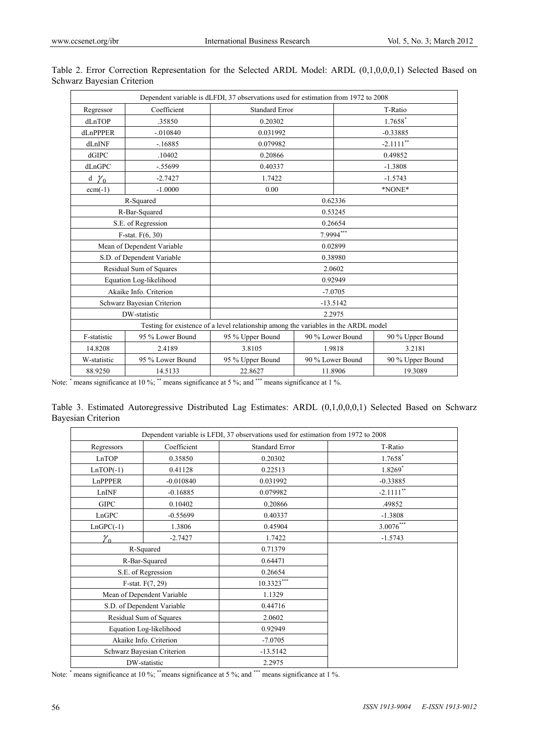| Dependent variable is dLFDI, 37 observations used for estimation from 1972 to 2008 |                            |                                                                                     |                  |                  |  |  |
|------------------------------------------------------------------------------------|----------------------------|-------------------------------------------------------------------------------------|------------------|------------------|--|--|
| Regressor                                                                          | Coefficient                | <b>Standard Error</b>                                                               | T-Ratio          |                  |  |  |
| dLnTOP                                                                             | .35850                     | 0.20302                                                                             |                  | 1.7658*          |  |  |
| dLnPPPER                                                                           | $-.010840$                 | 0.031992                                                                            |                  | $-0.33885$       |  |  |
| dLnINF                                                                             | $-16885$                   | 0.079982                                                                            |                  | $-2.1111$ **     |  |  |
| dGIPC                                                                              | .10402                     | 0.20866                                                                             |                  | 0.49852          |  |  |
| dLnGPC                                                                             | $-.55699$                  | 0.40337                                                                             |                  | $-1.3808$        |  |  |
| d $\gamma_0$                                                                       | $-2.7427$                  | 1.7422                                                                              |                  | $-1.5743$        |  |  |
| $ecm(-1)$                                                                          | $-1.0000$                  | 0.00                                                                                |                  | *NONE*           |  |  |
|                                                                                    | R-Squared                  |                                                                                     | 0.62336          |                  |  |  |
|                                                                                    | R-Bar-Squared              | 0.53245                                                                             |                  |                  |  |  |
|                                                                                    | S.E. of Regression         | 0.26654                                                                             |                  |                  |  |  |
|                                                                                    | F-stat. $F(6, 30)$         | 7.9994***                                                                           |                  |                  |  |  |
|                                                                                    | Mean of Dependent Variable |                                                                                     | 0.02899          |                  |  |  |
|                                                                                    | S.D. of Dependent Variable |                                                                                     | 0.38980          |                  |  |  |
|                                                                                    | Residual Sum of Squares    |                                                                                     | 2.0602           |                  |  |  |
|                                                                                    | Equation Log-likelihood    | 0.92949                                                                             |                  |                  |  |  |
|                                                                                    | Akaike Info. Criterion     | $-7.0705$                                                                           |                  |                  |  |  |
|                                                                                    | Schwarz Bayesian Criterion | $-13.5142$                                                                          |                  |                  |  |  |
|                                                                                    | DW-statistic               | 2.2975                                                                              |                  |                  |  |  |
|                                                                                    |                            | Testing for existence of a level relationship among the variables in the ARDL model |                  |                  |  |  |
| F-statistic                                                                        | 95 % Lower Bound           | 95 % Upper Bound                                                                    | 90 % Lower Bound | 90 % Upper Bound |  |  |
| 14.8208                                                                            | 2.4189                     | 3.8105                                                                              | 1.9818           | 3.2181           |  |  |
| W-statistic                                                                        | 95 % Lower Bound           | 95 % Upper Bound                                                                    | 90 % Lower Bound | 90 % Upper Bound |  |  |
| 88.9250                                                                            | 14.5133                    | 22.8627                                                                             | 11.8906          | 19.3089          |  |  |

| Table 2. Error Correction Representation for the Selected ARDL Model: ARDL $(0,1,0,0,0,1)$ Selected Based on |  |  |  |  |
|--------------------------------------------------------------------------------------------------------------|--|--|--|--|
| Schwarz Bayesian Criterion                                                                                   |  |  |  |  |

Note:  $*$  means significance at 10 %; \*\* means significance at 5 %; and \*\*\* means significance at 1 %.

|                    | Table 3. Estimated Autoregressive Distributed Lag Estimates: ARDL (0,1,0,0,0,1) Selected Based on Schwarz |  |  |  |  |  |
|--------------------|-----------------------------------------------------------------------------------------------------------|--|--|--|--|--|
| Bayesian Criterion |                                                                                                           |  |  |  |  |  |

| Dependent variable is LFDI, 37 observations used for estimation from 1972 to 2008 |                            |                       |                         |  |  |
|-----------------------------------------------------------------------------------|----------------------------|-----------------------|-------------------------|--|--|
| Regressors                                                                        | Coefficient                | <b>Standard Error</b> | T-Ratio                 |  |  |
| LnTOP                                                                             | 0.35850                    | 0.20302               | 1.7658*                 |  |  |
| $LnTOP(-1)$                                                                       | 0.41128                    | 0.22513               | 1.8269*                 |  |  |
| LnPPPER                                                                           | $-0.010840$                | 0.031992              | $-0.33885$              |  |  |
| LnINF                                                                             | $-0.16885$                 | 0.079982              | $-2.1111$ <sup>**</sup> |  |  |
| <b>GIPC</b>                                                                       | 0.10402                    | 0.20866               | .49852                  |  |  |
| LnGPC                                                                             | $-0.55699$                 | 0.40337               | $-1.3808$               |  |  |
| $LnGPC(-1)$                                                                       | 1.3806                     | 0.45904               | $3.0076^{***}\,$        |  |  |
| $\gamma_{0}$                                                                      | $-2.7427$                  | 1.7422                | $-1.5743$               |  |  |
|                                                                                   | R-Squared                  | 0.71379               |                         |  |  |
|                                                                                   | R-Bar-Squared              | 0.64471               |                         |  |  |
|                                                                                   | S.E. of Regression         | 0.26654               |                         |  |  |
|                                                                                   | F-stat. F(7, 29)           | 10.3323***            |                         |  |  |
|                                                                                   | Mean of Dependent Variable | 1.1329                |                         |  |  |
|                                                                                   | S.D. of Dependent Variable | 0.44716               |                         |  |  |
| Residual Sum of Squares                                                           |                            | 2.0602                |                         |  |  |
| Equation Log-likelihood                                                           |                            | 0.92949               |                         |  |  |
| Akaike Info. Criterion                                                            |                            | $-7.0705$             |                         |  |  |
|                                                                                   | Schwarz Bayesian Criterion | $-13.5142$            |                         |  |  |
| DW-statistic                                                                      |                            | 2.2975                |                         |  |  |

Note: \* means significance at 10 %; \*\* means significance at 5 %; and \*\*\* means significance at 1 %.